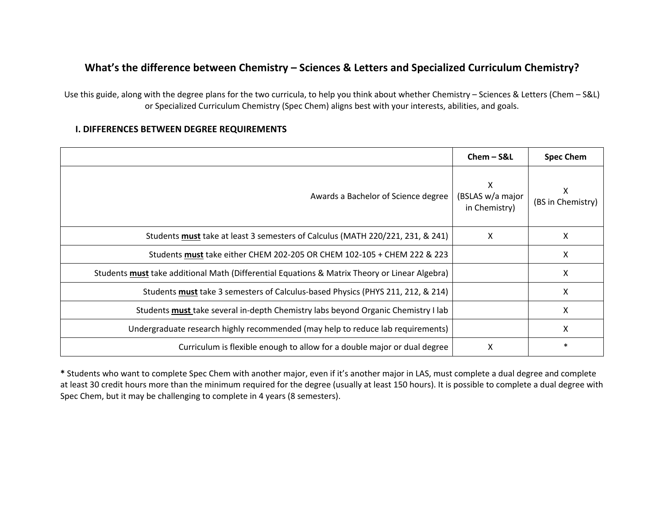## **What's the difference between Chemistry – Sciences & Letters and Specialized Curriculum Chemistry?**

Use this guide, along with the degree plans for the two curricula, to help you think about whether Chemistry – Sciences & Letters (Chem – S&L) or Specialized Curriculum Chemistry (Spec Chem) aligns best with your interests, abilities, and goals.

## **I. DIFFERENCES BETWEEN DEGREE REQUIREMENTS**

|                                                                                               | $Chem-S&L$                             | <b>Spec Chem</b>       |
|-----------------------------------------------------------------------------------------------|----------------------------------------|------------------------|
| Awards a Bachelor of Science degree                                                           | X<br>(BSLAS w/a major<br>in Chemistry) | х<br>(BS in Chemistry) |
| Students must take at least 3 semesters of Calculus (MATH 220/221, 231, & 241)                | X                                      | X                      |
| Students must take either CHEM 202-205 OR CHEM 102-105 + CHEM 222 & 223                       |                                        | X                      |
| Students must take additional Math (Differential Equations & Matrix Theory or Linear Algebra) |                                        | X                      |
| Students must take 3 semesters of Calculus-based Physics (PHYS 211, 212, & 214)               |                                        | X                      |
| Students must take several in-depth Chemistry labs beyond Organic Chemistry I lab             |                                        | X                      |
| Undergraduate research highly recommended (may help to reduce lab requirements)               |                                        | X                      |
| Curriculum is flexible enough to allow for a double major or dual degree                      | х                                      | $\ast$                 |

**\*** Students who want to complete Spec Chem with another major, even if it's another major in LAS, must complete a dual degree and complete at least 30 credit hours more than the minimum required for the degree (usually at least 150 hours). It is possible to complete a dual degree with Spec Chem, but it may be challenging to complete in 4 years (8 semesters).